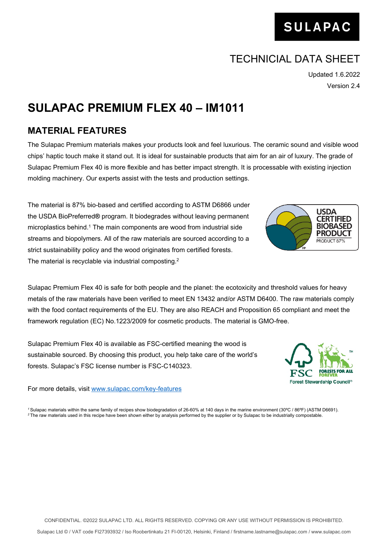## TECHNICIAL DATA SHEET

Updated 1.6.2022 Version 2.4

## **SULAPAC PREMIUM FLEX 40 – IM1011**

## **MATERIAL FEATURES**

The Sulapac Premium materials makes your products look and feel luxurious. The ceramic sound and visible wood chips' haptic touch make it stand out. It is ideal for sustainable products that aim for an air of luxury. The grade of Sulapac Premium Flex 40 is more flexible and has better impact strength. It is processable with existing injection molding machinery. Our experts assist with the tests and production settings.

The material is 87% bio-based and certified according to ASTM D6866 under the USDA BioPreferred**®** program. It biodegrades without leaving permanent microplastics behind.<sup>1</sup> The main components are wood from industrial side streams and biopolymers. All of the raw materials are sourced according to a strict sustainability policy and the wood originates from certified forests. The material is recyclable via industrial composting.<sup>2</sup>

Sulapac Premium Flex 40 is safe for both people and the planet: the ecotoxicity and threshold values for heavy metals of the raw materials have been verified to meet EN 13432 and/or ASTM D6400. The raw materials comply with the food contact requirements of the EU. They are also REACH and Proposition 65 compliant and meet the framework regulation (EC) No.1223/2009 for cosmetic products. The material is GMO-free.

Sulapac Premium Flex 40 is available as FSC-certified meaning the wood is sustainable sourced. By choosing this product, you help take care of the world's forests. Sulapac's FSC license number is FSC-C140323.

For more details, visit [www.sulapac.com/key-features](http://www.sulapac.com/key-features)

*<sup>1</sup>*Sulapac materials within the same family of recipes show biodegradation of 26-60% at 140 days in the marine environment (30ºC / 86ºF) (ASTM D6691). *2* The raw materials used in this recipe have been shown either by analysis performed by the supplier or by Sulapac to be industrially compostable.





Sulapac Ltd © / VAT code FI27393932 / Iso Roobertinkatu 21 FI-00120, Helsinki, Finland / [firstname.lastname@sulapac.com](mailto:firstname.lastname@sulapac.com) / www.sulapac.com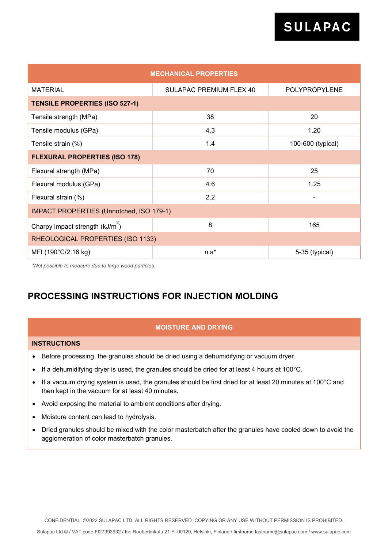| <b>MECHANICAL PROPERTIES</b>                    |                                |                   |  |  |  |
|-------------------------------------------------|--------------------------------|-------------------|--|--|--|
| <b>MATERIAL</b>                                 | <b>SULAPAC PREMIUM FLEX 40</b> | POLYPROPYLENE     |  |  |  |
| <b>TENSILE PROPERTIES (ISO 527-1)</b>           |                                |                   |  |  |  |
| Tensile strength (MPa)                          | 38                             | 20                |  |  |  |
| Tensile modulus (GPa)                           | 4.3                            | 1.20              |  |  |  |
| Tensile strain (%)                              | 1.4                            | 100-600 (typical) |  |  |  |
| <b>FLEXURAL PROPERTIES (ISO 178)</b>            |                                |                   |  |  |  |
| Flexural strength (MPa)                         | 70                             | 25                |  |  |  |
| Flexural modulus (GPa)                          | 4.6                            | 1.25              |  |  |  |
| Flexural strain (%)                             | 2.2                            |                   |  |  |  |
| <b>IMPACT PROPERTIES (Unnotched, ISO 179-1)</b> |                                |                   |  |  |  |
| Charpy impact strength $(kJ/m2)$                | 8                              | 165               |  |  |  |
| RHEOLOGICAL PROPERTIES (ISO 1133)               |                                |                   |  |  |  |
| MFI (190°C/2.16 kg)                             | $n.a*$                         | 5-35 (typical)    |  |  |  |

*\*Not possible to measure due to large wood particles.*

## **PROCESSING INSTRUCTIONS FOR INJECTION MOLDING**

### **MOISTURE AND DRYING**

#### **INSTRUCTIONS**

- Before processing, the granules should be dried using a dehumidifying or vacuum dryer.
- If a dehumidifying dryer is used, the granules should be dried for at least 4 hours at 100°C.
- If a vacuum drying system is used, the granules should be first dried for at least 20 minutes at 100°C and then kept in the vacuum for at least 40 minutes.
- Avoid exposing the material to ambient conditions after drying.
- Moisture content can lead to hydrolysis.
- Dried granules should be mixed with the color masterbatch after the granules have cooled down to avoid the agglomeration of color masterbatch granules.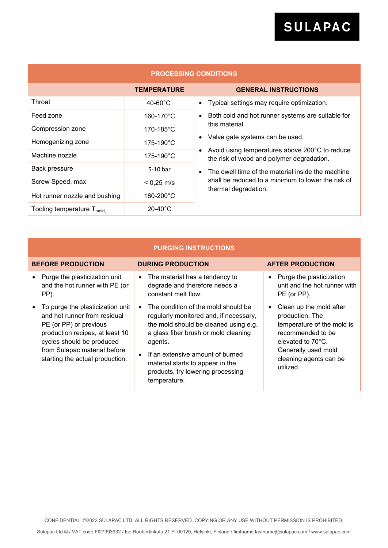| <b>PROCESSING CONDITIONS</b>           |                       |                                                                                             |  |  |  |
|----------------------------------------|-----------------------|---------------------------------------------------------------------------------------------|--|--|--|
|                                        | <b>TEMPERATURE</b>    | <b>GENERAL INSTRUCTIONS</b>                                                                 |  |  |  |
| Throat                                 | $40-60^{\circ}$ C     | Typical settings may require optimization.                                                  |  |  |  |
| Feed zone                              | 160-170°C             | Both cold and hot runner systems are suitable for<br>this material.                         |  |  |  |
| Compression zone                       | 170-185°C             |                                                                                             |  |  |  |
| Homogenizing zone                      | 175-190°C             | Valve gate systems can be used.                                                             |  |  |  |
| Machine nozzle                         | $175 - 190^{\circ}$ C | Avoid using temperatures above 200°C to reduce<br>the risk of wood and polymer degradation. |  |  |  |
| Back pressure                          | $5-10$ bar            | The dwell time of the material inside the machine                                           |  |  |  |
| Screw Speed, max                       | $< 0.25$ m/s          | shall be reduced to a minimum to lower the risk of<br>thermal degradation.                  |  |  |  |
| Hot runner nozzle and bushing          | 180-200°C             |                                                                                             |  |  |  |
| Tooling temperature $T_{\text{model}}$ | $20-40^{\circ}$ C     |                                                                                             |  |  |  |

| <b>PURGING INSTRUCTIONS</b>                                                                                                                                                                                                   |                                                                                                                                                                                                                                                                                                        |                                                                                                                                                                                               |  |  |  |
|-------------------------------------------------------------------------------------------------------------------------------------------------------------------------------------------------------------------------------|--------------------------------------------------------------------------------------------------------------------------------------------------------------------------------------------------------------------------------------------------------------------------------------------------------|-----------------------------------------------------------------------------------------------------------------------------------------------------------------------------------------------|--|--|--|
| <b>BEFORE PRODUCTION</b>                                                                                                                                                                                                      | <b>DURING PRODUCTION</b>                                                                                                                                                                                                                                                                               | <b>AFTER PRODUCTION</b>                                                                                                                                                                       |  |  |  |
| Purge the plasticization unit<br>and the hot runner with PE (or<br>PP).                                                                                                                                                       | • The material has a tendency to<br>degrade and therefore needs a<br>constant melt flow.                                                                                                                                                                                                               | Purge the plasticization<br>$\bullet$<br>unit and the hot runner with<br>PE (or PP).                                                                                                          |  |  |  |
| To purge the plasticization unit<br>and hot runner from residual<br>PE (or PP) or previous<br>production recipes, at least 10<br>cycles should be produced<br>from Sulapac material before<br>starting the actual production. | The condition of the mold should be<br>regularly monitored and, if necessary,<br>the mold should be cleaned using e.g.<br>a glass fiber brush or mold cleaning<br>agents.<br>If an extensive amount of burned<br>material starts to appear in the<br>products, try lowering processing<br>temperature. | Clean up the mold after<br>$\bullet$<br>production. The<br>temperature of the mold is<br>recommended to be<br>elevated to 70°C.<br>Generally used mold<br>cleaning agents can be<br>utilized. |  |  |  |

CONFIDENTIAL. ©2022 SULAPAC LTD. ALL RIGHTS RESERVED. COPYING OR ANY USE WITHOUT PERMISSION IS PROHIBITED.